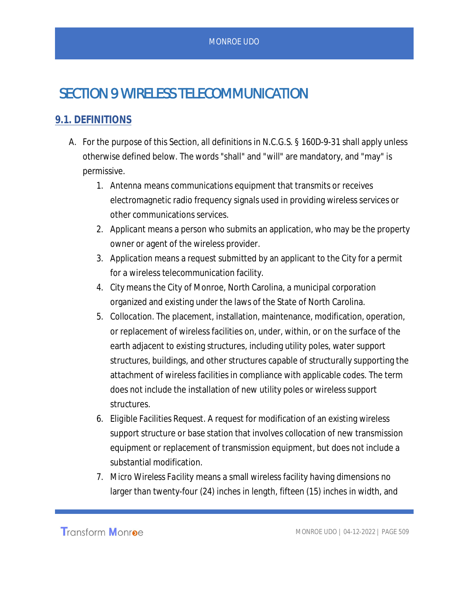# SECTION 9 WIRELESS TELECOMMUNICATION

### **9.1. DEFINITIONS**

- A. For the purpose of this Section, all definitions in N.C.G.S. § 160D-9-31 shall apply unless otherwise defined below. The words "shall" and "will" are mandatory, and "may" is permissive.
	- 1. *Antenna* means communications equipment that transmits or receives electromagnetic radio frequency signals used in providing wireless services or other communications services.
	- *2. Applicant* means a person who submits an application, who may be the property owner or agent of the wireless provider.
	- *3. Application* means a request submitted by an applicant to the City for a permit for a wireless telecommunication facility.
	- *4. City* means the City of Monroe, North Carolina, a municipal corporation organized and existing under the laws of the State of North Carolina.
	- 5. *Collocation*. The placement, installation, maintenance, modification, operation, or replacement of wireless facilities on, under, within, or on the surface of the earth adjacent to existing structures, including utility poles, water support structures, buildings, and other structures capable of structurally supporting the attachment of wireless facilities in compliance with applicable codes. The term does not include the installation of new utility poles or wireless support structures.
	- 6. *Eligible Facilities Request*. A request for modification of an existing wireless support structure or base station that involves collocation of new transmission equipment or replacement of transmission equipment, but does not include a substantial modification.
	- 7. *Micro Wireless Facility* means a small wireless facility having dimensions no larger than twenty-four (24) inches in length, fifteen (15) inches in width, and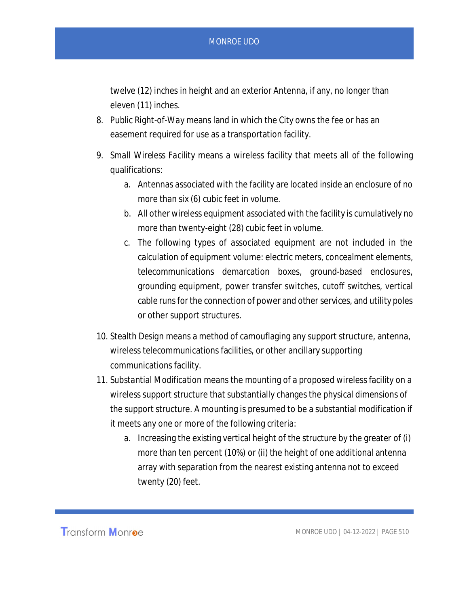twelve (12) inches in height and an exterior Antenna, if any, no longer than eleven (11) inches.

- 8. *Public Right-of-Wa*y means land in which the City owns the fee or has an easement required for use as a transportation facility.
- 9. *Small Wireless Facility* means a wireless facility that meets all of the following qualifications:
	- a. Antennas associated with the facility are located inside an enclosure of no more than six (6) cubic feet in volume.
	- b. All other wireless equipment associated with the facility is cumulatively no more than twenty-eight (28) cubic feet in volume.
	- c. The following types of associated equipment are not included in the calculation of equipment volume: electric meters, concealment elements, telecommunications demarcation boxes, ground-based enclosures, grounding equipment, power transfer switches, cutoff switches, vertical cable runs for the connection of power and other services, and utility poles or other support structures.
- 10. *Stealth Design* means a method of camouflaging any support structure, antenna, wireless telecommunications facilities, or other ancillary supporting communications facility.
- 11. *Substantial Modification* means the mounting of a proposed wireless facility on a wireless support structure that substantially changes the physical dimensions of the support structure. A mounting is presumed to be a substantial modification if it meets any one or more of the following criteria:
	- a. Increasing the existing vertical height of the structure by the greater of (i) more than ten percent (10%) or (ii) the height of one additional antenna array with separation from the nearest existing antenna not to exceed twenty (20) feet.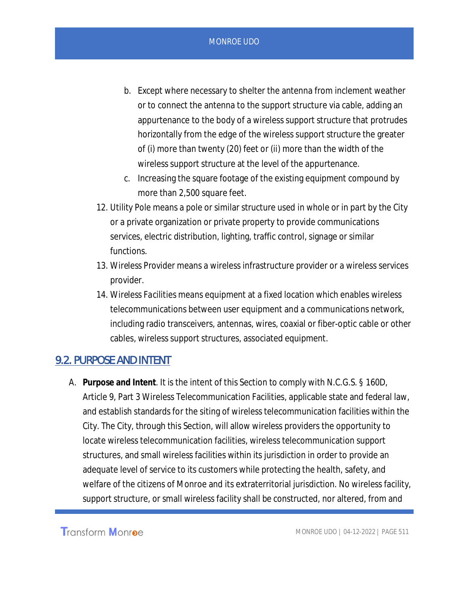- b. Except where necessary to shelter the antenna from inclement weather or to connect the antenna to the support structure via cable, adding an appurtenance to the body of a wireless support structure that protrudes horizontally from the edge of the wireless support structure the greater of (i) more than twenty (20) feet or (ii) more than the width of the wireless support structure at the level of the appurtenance.
- c. Increasing the square footage of the existing equipment compound by more than 2,500 square feet.
- 12. *Utility Pole* means a pole or similar structure used in whole or in part by the City or a private organization or private property to provide communications services, electric distribution, lighting, traffic control, signage or similar functions.
- 13. *Wireless Provider* means a wireless infrastructure provider or a wireless services provider.
- *14. Wireless Facilities* means equipment at a fixed location which enables wireless telecommunications between user equipment and a communications network, including radio transceivers, antennas, wires, coaxial or fiber-optic cable or other cables, wireless support structures, associated equipment.

## 9.2. PURPOSE AND INTENT

A. **Purpose and Intent**. It is the intent of this Section to comply with N.C.G.S. § 160D, Article 9, Part 3 Wireless Telecommunication Facilities, applicable state and federal law, and establish standards for the siting of wireless telecommunication facilities within the City. The City, through this Section, will allow wireless providers the opportunity to locate wireless telecommunication facilities, wireless telecommunication support structures, and small wireless facilities within its jurisdiction in order to provide an adequate level of service to its customers while protecting the health, safety, and welfare of the citizens of Monroe and its extraterritorial jurisdiction. No wireless facility, support structure, or small wireless facility shall be constructed, nor altered, from and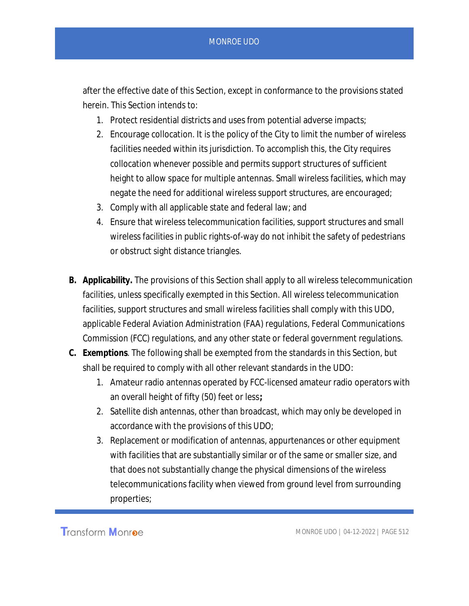after the effective date of this Section, except in conformance to the provisions stated herein. This Section intends to:

- 1. Protect residential districts and uses from potential adverse impacts;
- 2. Encourage collocation. It is the policy of the City to limit the number of wireless facilities needed within its jurisdiction. To accomplish this, the City requires collocation whenever possible and permits support structures of sufficient height to allow space for multiple antennas. Small wireless facilities, which may negate the need for additional wireless support structures, are encouraged;
- 3. Comply with all applicable state and federal law; and
- 4. Ensure that wireless telecommunication facilities, support structures and small wireless facilities in public rights-of-way do not inhibit the safety of pedestrians or obstruct sight distance triangles.
- **B. Applicability.** The provisions of this Section shall apply to all wireless telecommunication facilities, unless specifically exempted in this Section. All wireless telecommunication facilities, support structures and small wireless facilities shall comply with this UDO, applicable Federal Aviation Administration (FAA) regulations, Federal Communications Commission (FCC) regulations, and any other state or federal government regulations.
- **C. Exemptions**. The following shall be exempted from the standards in this Section, but shall be required to comply with all other relevant standards in the UDO:
	- 1. Amateur radio antennas operated by FCC-licensed amateur radio operators with an overall height of fifty (50) feet or less**;**
	- 2. Satellite dish antennas, other than broadcast, which may only be developed in accordance with the provisions of this UDO;
	- 3. Replacement or modification of antennas, appurtenances or other equipment with facilities that are substantially similar or of the same or smaller size, and that does not substantially change the physical dimensions of the wireless telecommunications facility when viewed from ground level from surrounding properties;

Transform Monroe

MONROE UDO | 04-12-2022 | PAGE 512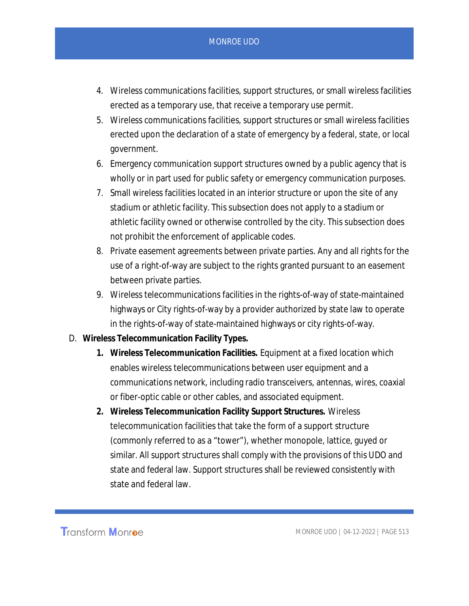- 4. Wireless communications facilities, support structures, or small wireless facilities erected as a temporary use, that receive a temporary use permit.
- 5. Wireless communications facilities, support structures or small wireless facilities erected upon the declaration of a state of emergency by a federal, state, or local government.
- 6. Emergency communication support structures owned by a public agency that is wholly or in part used for public safety or emergency communication purposes.
- 7. Small wireless facilities located in an interior structure or upon the site of any stadium or athletic facility. This subsection does not apply to a stadium or athletic facility owned or otherwise controlled by the city. This subsection does not prohibit the enforcement of applicable codes.
- 8. Private easement agreements between private parties. Any and all rights for the use of a right-of-way are subject to the rights granted pursuant to an easement between private parties.
- 9. Wireless telecommunications facilities in the rights-of-way of state-maintained highways or City rights-of-way by a provider authorized by state law to operate in the rights-of-way of state-maintained highways or city rights-of-way.
- D. **Wireless Telecommunication Facility Types.**
	- **1. Wireless Telecommunication Facilities.** Equipment at a fixed location which enables wireless telecommunications between user equipment and a communications network, including radio transceivers, antennas, wires, coaxial or fiber-optic cable or other cables, and associated equipment.
	- **2. Wireless Telecommunication Facility Support Structures.** Wireless telecommunication facilities that take the form of a support structure (commonly referred to as a "tower"), whether monopole, lattice, guyed or similar. All support structures shall comply with the provisions of this UDO and state and federal law. Support structures shall be reviewed consistently with state and federal law.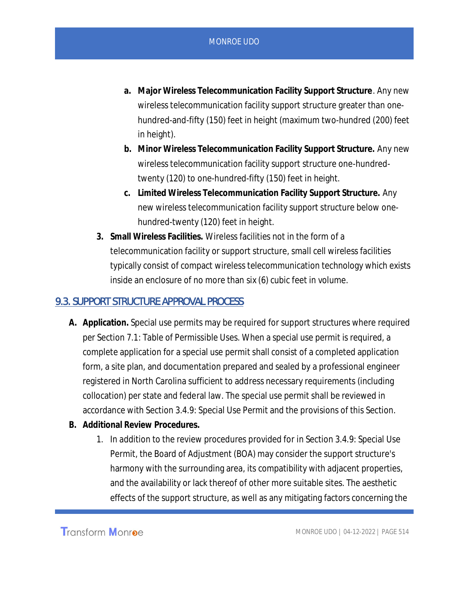- **a. Major Wireless Telecommunication Facility Support Structure**. Any new wireless telecommunication facility support structure greater than onehundred-and-fifty (150) feet in height (maximum two-hundred (200) feet in height).
- **b. Minor Wireless Telecommunication Facility Support Structure.** Any new wireless telecommunication facility support structure one-hundredtwenty (120) to one-hundred-fifty (150) feet in height.
- **c. Limited Wireless Telecommunication Facility Support Structure.** Any new wireless telecommunication facility support structure below onehundred-twenty (120) feet in height.
- **3. Small Wireless Facilities.** Wireless facilities not in the form of a telecommunication facility or support structure, small cell wireless facilities typically consist of compact wireless telecommunication technology which exists inside an enclosure of no more than six (6) cubic feet in volume.

#### 9.3. SUPPORT STRUCTURE APPROVAL PROCESS

- **A. Application.** Special use permits may be required for support structures where required per Section 7.1: Table of Permissible Uses. When a special use permit is required, a complete application for a special use permit shall consist of a completed application form, a site plan, and documentation prepared and sealed by a professional engineer registered in North Carolina sufficient to address necessary requirements (including collocation) per state and federal law. The special use permit shall be reviewed in accordance with Section 3.4.9: Special Use Permit and the provisions of this Section.
- **B. Additional Review Procedures.**
	- 1. In addition to the review procedures provided for in Section 3.4.9: Special Use Permit, the Board of Adjustment (BOA) may consider the support structure's harmony with the surrounding area, its compatibility with adjacent properties, and the availability or lack thereof of other more suitable sites. The aesthetic effects of the support structure, as well as any mitigating factors concerning the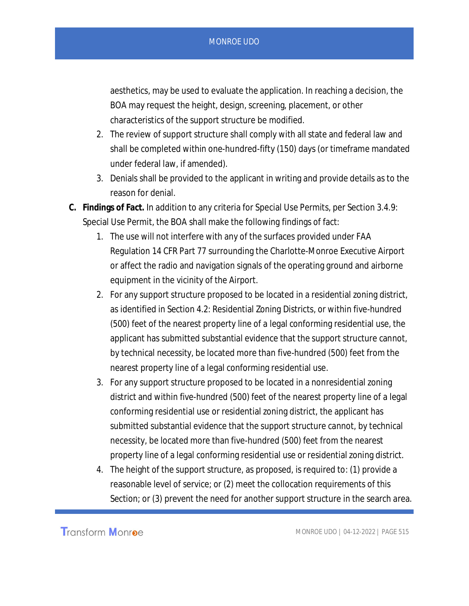aesthetics, may be used to evaluate the application. In reaching a decision, the BOA may request the height, design, screening, placement, or other characteristics of the support structure be modified.

- 2. The review of support structure shall comply with all state and federal law and shall be completed within one-hundred-fifty (150) days (or timeframe mandated under federal law, if amended).
- 3. Denials shall be provided to the applicant in writing and provide details as to the reason for denial.
- **C. Findings of Fact.** In addition to any criteria for Special Use Permits, per Section 3.4.9: Special Use Permit, the BOA shall make the following findings of fact:
	- 1. The use will not interfere with any of the surfaces provided under FAA Regulation 14 CFR Part 77 surrounding the Charlotte-Monroe Executive Airport or affect the radio and navigation signals of the operating ground and airborne equipment in the vicinity of the Airport.
	- 2. For any support structure proposed to be located in a residential zoning district, as identified in Section 4.2: Residential Zoning Districts, or within five-hundred (500) feet of the nearest property line of a legal conforming residential use, the applicant has submitted substantial evidence that the support structure cannot, by technical necessity, be located more than five-hundred (500) feet from the nearest property line of a legal conforming residential use.
	- 3. For any support structure proposed to be located in a nonresidential zoning district and within five-hundred (500) feet of the nearest property line of a legal conforming residential use or residential zoning district, the applicant has submitted substantial evidence that the support structure cannot, by technical necessity, be located more than five-hundred (500) feet from the nearest property line of a legal conforming residential use or residential zoning district.
	- 4. The height of the support structure, as proposed, is required to: (1) provide a reasonable level of service; or (2) meet the collocation requirements of this Section; or (3) prevent the need for another support structure in the search area.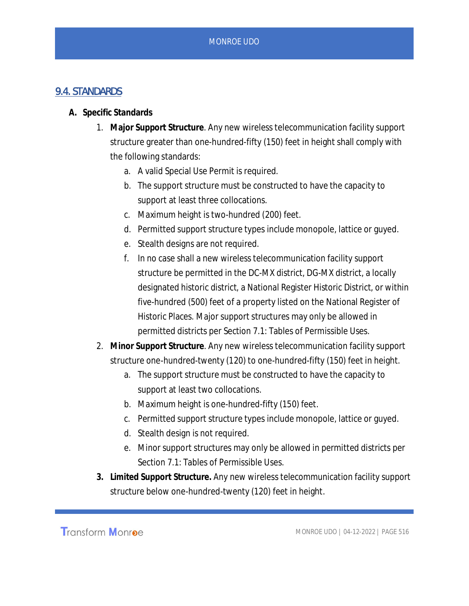# 9.4. STANDARDS

- **A. Specific Standards**
	- 1. **Major Support Structure**. Any new wireless telecommunication facility support structure greater than one-hundred-fifty (150) feet in height shall comply with the following standards:
		- a. A valid Special Use Permit is required.
		- b. The support structure must be constructed to have the capacity to support at least three collocations.
		- c. Maximum height is two-hundred (200) feet.
		- d. Permitted support structure types include monopole, lattice or guyed.
		- e. Stealth designs are not required.
		- f. In no case shall a new wireless telecommunication facility support structure be permitted in the DC-MX district, DG-MX district, a locally designated historic district, a National Register Historic District, or within five-hundred (500) feet of a property listed on the National Register of Historic Places. Major support structures may only be allowed in permitted districts per Section 7.1: Tables of Permissible Uses.
	- 2. **Minor Support Structure**. Any new wireless telecommunication facility support structure one-hundred-twenty (120) to one-hundred-fifty (150) feet in height.
		- a. The support structure must be constructed to have the capacity to support at least two collocations.
		- b. Maximum height is one-hundred-fifty (150) feet.
		- c. Permitted support structure types include monopole, lattice or guyed.
		- d. Stealth design is not required.
		- e. Minor support structures may only be allowed in permitted districts per Section 7.1: Tables of Permissible Uses.
	- **3. Limited Support Structure.** Any new wireless telecommunication facility support structure below one-hundred-twenty (120) feet in height.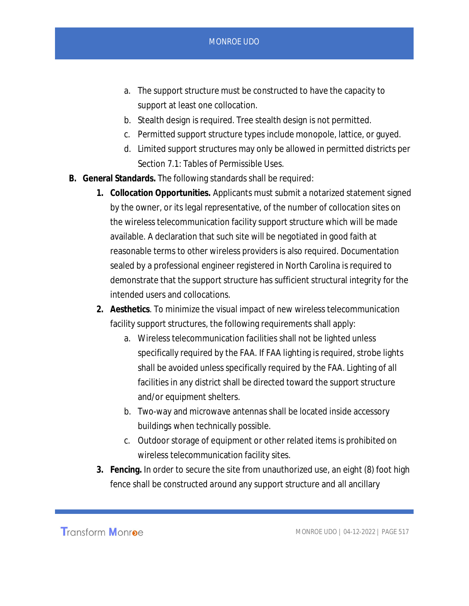- a. The support structure must be constructed to have the capacity to support at least one collocation.
- b. Stealth design is required. Tree stealth design is not permitted.
- c. Permitted support structure types include monopole, lattice, or guyed.
- d. Limited support structures may only be allowed in permitted districts per Section 7.1: Tables of Permissible Uses.
- **B. General Standards.** The following standards shall be required:
	- **1. Collocation Opportunities.** Applicants must submit a notarized statement signed by the owner, or its legal representative, of the number of collocation sites on the wireless telecommunication facility support structure which will be made available. A declaration that such site will be negotiated in good faith at reasonable terms to other wireless providers is also required. Documentation sealed by a professional engineer registered in North Carolina is required to demonstrate that the support structure has sufficient structural integrity for the intended users and collocations.
	- **2. Aesthetics**. To minimize the visual impact of new wireless telecommunication facility support structures, the following requirements shall apply:
		- a. Wireless telecommunication facilities shall not be lighted unless specifically required by the FAA. If FAA lighting is required, strobe lights shall be avoided unless specifically required by the FAA. Lighting of all facilities in any district shall be directed toward the support structure and/or equipment shelters.
		- b. Two-way and microwave antennas shall be located inside accessory buildings when technically possible.
		- c. Outdoor storage of equipment or other related items is prohibited on wireless telecommunication facility sites.
	- **3. Fencing.** In order to secure the site from unauthorized use, an eight (8) foot high fence shall be constructed around any support structure and all ancillary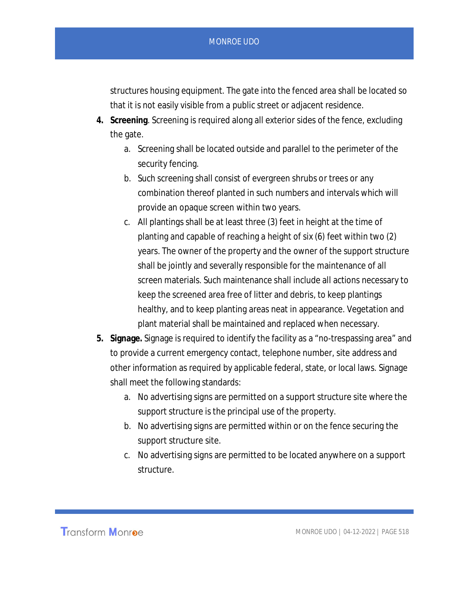structures housing equipment. The gate into the fenced area shall be located so that it is not easily visible from a public street or adjacent residence.

- **4. Screening**. Screening is required along all exterior sides of the fence, excluding the gate.
	- a. Screening shall be located outside and parallel to the perimeter of the security fencing.
	- b. Such screening shall consist of evergreen shrubs or trees or any combination thereof planted in such numbers and intervals which will provide an opaque screen within two years.
	- c. All plantings shall be at least three (3) feet in height at the time of planting and capable of reaching a height of six (6) feet within two (2) years. The owner of the property and the owner of the support structure shall be jointly and severally responsible for the maintenance of all screen materials. Such maintenance shall include all actions necessary to keep the screened area free of litter and debris, to keep plantings healthy, and to keep planting areas neat in appearance. Vegetation and plant material shall be maintained and replaced when necessary.
- **5. Signage.** Signage is required to identify the facility as a "no-trespassing area" and to provide a current emergency contact, telephone number, site address and other information as required by applicable federal, state, or local laws. Signage shall meet the following standards:
	- a. No advertising signs are permitted on a support structure site where the support structure is the principal use of the property.
	- b. No advertising signs are permitted within or on the fence securing the support structure site.
	- c. No advertising signs are permitted to be located anywhere on a support structure.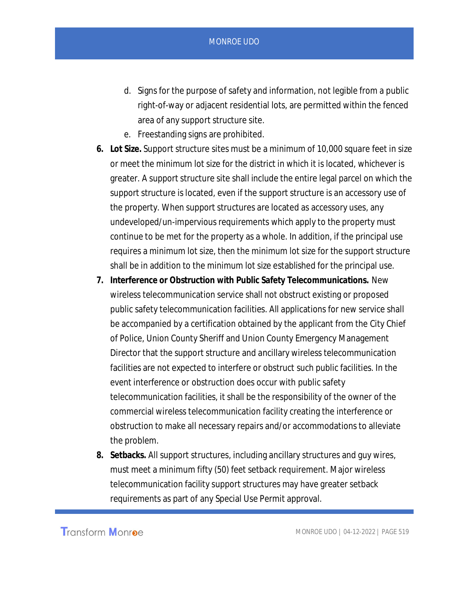- d. Signs for the purpose of safety and information, not legible from a public right-of-way or adjacent residential lots, are permitted within the fenced area of any support structure site.
- e. Freestanding signs are prohibited.
- **6. Lot Size.** Support structure sites must be a minimum of 10,000 square feet in size or meet the minimum lot size for the district in which it is located, whichever is greater. A support structure site shall include the entire legal parcel on which the support structure is located, even if the support structure is an accessory use of the property. When support structures are located as accessory uses, any undeveloped/un-impervious requirements which apply to the property must continue to be met for the property as a whole. In addition, if the principal use requires a minimum lot size, then the minimum lot size for the support structure shall be in addition to the minimum lot size established for the principal use.
- **7. Interference or Obstruction with Public Safety Telecommunications.** New wireless telecommunication service shall not obstruct existing or proposed public safety telecommunication facilities. All applications for new service shall be accompanied by a certification obtained by the applicant from the City Chief of Police, Union County Sheriff and Union County Emergency Management Director that the support structure and ancillary wireless telecommunication facilities are not expected to interfere or obstruct such public facilities. In the event interference or obstruction does occur with public safety telecommunication facilities, it shall be the responsibility of the owner of the commercial wireless telecommunication facility creating the interference or obstruction to make all necessary repairs and/or accommodations to alleviate the problem.
- **8. Setbacks.** All support structures, including ancillary structures and guy wires, must meet a minimum fifty (50) feet setback requirement. Major wireless telecommunication facility support structures may have greater setback requirements as part of any Special Use Permit approval.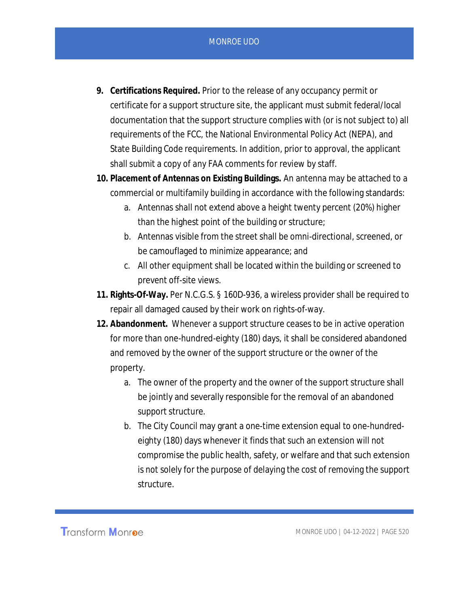- **9. Certifications Required.** Prior to the release of any occupancy permit or certificate for a support structure site, the applicant must submit federal/local documentation that the support structure complies with (or is not subject to) all requirements of the FCC, the National Environmental Policy Act (NEPA), and State Building Code requirements. In addition, prior to approval, the applicant shall submit a copy of any FAA comments for review by staff.
- **10. Placement of Antennas on Existing Buildings.** An antenna may be attached to a commercial or multifamily building in accordance with the following standards:
	- a. Antennas shall not extend above a height twenty percent (20%) higher than the highest point of the building or structure;
	- b. Antennas visible from the street shall be omni-directional, screened, or be camouflaged to minimize appearance; and
	- c. All other equipment shall be located within the building or screened to prevent off-site views.
- **11. Rights-Of-Way.** Per N.C.G.S. § 160D-936, a wireless provider shall be required to repair all damaged caused by their work on rights-of-way.
- **12. Abandonment.** Whenever a support structure ceases to be in active operation for more than one-hundred-eighty (180) days, it shall be considered abandoned and removed by the owner of the support structure or the owner of the property.
	- a. The owner of the property and the owner of the support structure shall be jointly and severally responsible for the removal of an abandoned support structure.
	- b. The City Council may grant a one-time extension equal to one-hundredeighty (180) days whenever it finds that such an extension will not compromise the public health, safety, or welfare and that such extension is not solely for the purpose of delaying the cost of removing the support structure.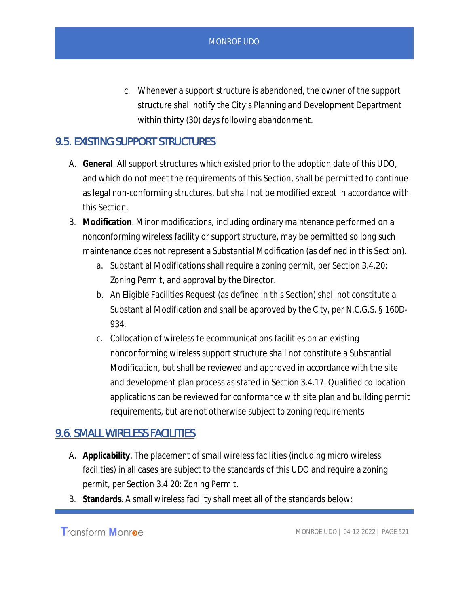c. Whenever a support structure is abandoned, the owner of the support structure shall notify the City's Planning and Development Department within thirty (30) days following abandonment.

# 9.5. EXISTING SUPPORT STRUCTURES

- A. **General**. All support structures which existed prior to the adoption date of this UDO, and which do not meet the requirements of this Section, shall be permitted to continue as legal non-conforming structures, but shall not be modified except in accordance with this Section.
- B. **Modification**. Minor modifications, including ordinary maintenance performed on a nonconforming wireless facility or support structure, may be permitted so long such maintenance does not represent a Substantial Modification (as defined in this Section).
	- a. Substantial Modifications shall require a zoning permit, per Section 3.4.20: Zoning Permit, and approval by the Director.
	- b. An Eligible Facilities Request (as defined in this Section) shall not constitute a Substantial Modification and shall be approved by the City, per N.C.G.S. § 160D-934.
	- c. Collocation of wireless telecommunications facilities on an existing nonconforming wireless support structure shall not constitute a Substantial Modification, but shall be reviewed and approved in accordance with the site and development plan process as stated in Section 3.4.17. Qualified collocation applications can be reviewed for conformance with site plan and building permit requirements, but are not otherwise subject to zoning requirements

## 9.6. SMALL WIRELESS FACILITIES

- A. **Applicability**. The placement of small wireless facilities (including micro wireless facilities) in all cases are subject to the standards of this UDO and require a zoning permit, per Section 3.4.20: Zoning Permit.
- B. **Standards**. A small wireless facility shall meet all of the standards below: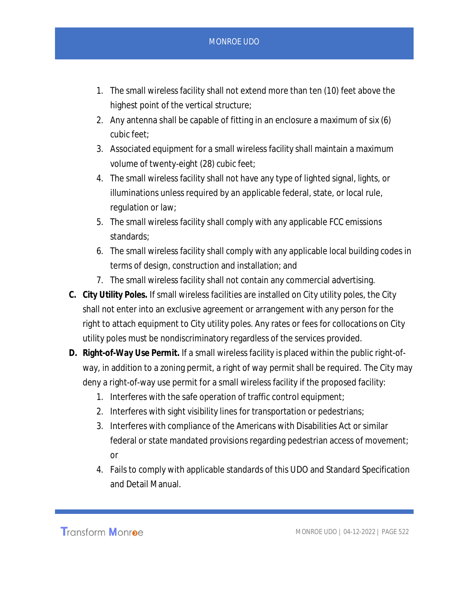- 1. The small wireless facility shall not extend more than ten (10) feet above the highest point of the vertical structure;
- 2. Any antenna shall be capable of fitting in an enclosure a maximum of six (6) cubic feet;
- 3. Associated equipment for a small wireless facility shall maintain a maximum volume of twenty-eight (28) cubic feet;
- 4. The small wireless facility shall not have any type of lighted signal, lights, or illuminations unless required by an applicable federal, state, or local rule, regulation or law;
- 5. The small wireless facility shall comply with any applicable FCC emissions standards;
- 6. The small wireless facility shall comply with any applicable local building codes in terms of design, construction and installation; and
- 7. The small wireless facility shall not contain any commercial advertising.
- **C. City Utility Poles.** If small wireless facilities are installed on City utility poles, the City shall not enter into an exclusive agreement or arrangement with any person for the right to attach equipment to City utility poles. Any rates or fees for collocations on City utility poles must be nondiscriminatory regardless of the services provided.
- **D. Right-of-Way Use Permit.** If a small wireless facility is placed within the public right-ofway, in addition to a zoning permit, a right of way permit shall be required. The City may deny a right-of-way use permit for a small wireless facility if the proposed facility:
	- 1. Interferes with the safe operation of traffic control equipment;
	- 2. Interferes with sight visibility lines for transportation or pedestrians;
	- 3. Interferes with compliance of the Americans with Disabilities Act or similar federal or state mandated provisions regarding pedestrian access of movement; or
	- 4. Fails to comply with applicable standards of this UDO and Standard Specification and Detail Manual.

Transform Monroe

MONROE UDO | 04-12-2022 | PAGE 522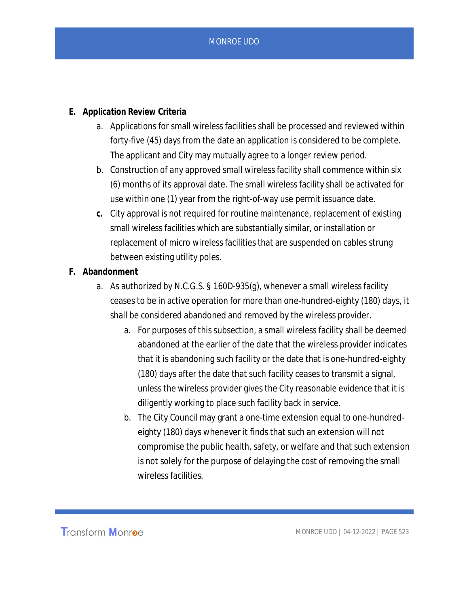- **E. Application Review Criteria**
	- a. Applications for small wireless facilities shall be processed and reviewed within forty-five (45) days from the date an application is considered to be complete. The applicant and City may mutually agree to a longer review period.
	- b. Construction of any approved small wireless facility shall commence within six (6) months of its approval date. The small wireless facility shall be activated for use within one (1) year from the right-of-way use permit issuance date.
	- **c.** City approval is not required for routine maintenance, replacement of existing small wireless facilities which are substantially similar, or installation or replacement of micro wireless facilities that are suspended on cables strung between existing utility poles.
- **F. Abandonment**
	- a. As authorized by N.C.G.S. § 160D-935(g), whenever a small wireless facility ceases to be in active operation for more than one-hundred-eighty (180) days, it shall be considered abandoned and removed by the wireless provider.
		- a. For purposes of this subsection, a small wireless facility shall be deemed abandoned at the earlier of the date that the wireless provider indicates that it is abandoning such facility or the date that is one-hundred-eighty (180) days after the date that such facility ceases to transmit a signal, unless the wireless provider gives the City reasonable evidence that it is diligently working to place such facility back in service.
		- b. The City Council may grant a one-time extension equal to one-hundredeighty (180) days whenever it finds that such an extension will not compromise the public health, safety, or welfare and that such extension is not solely for the purpose of delaying the cost of removing the small wireless facilities.